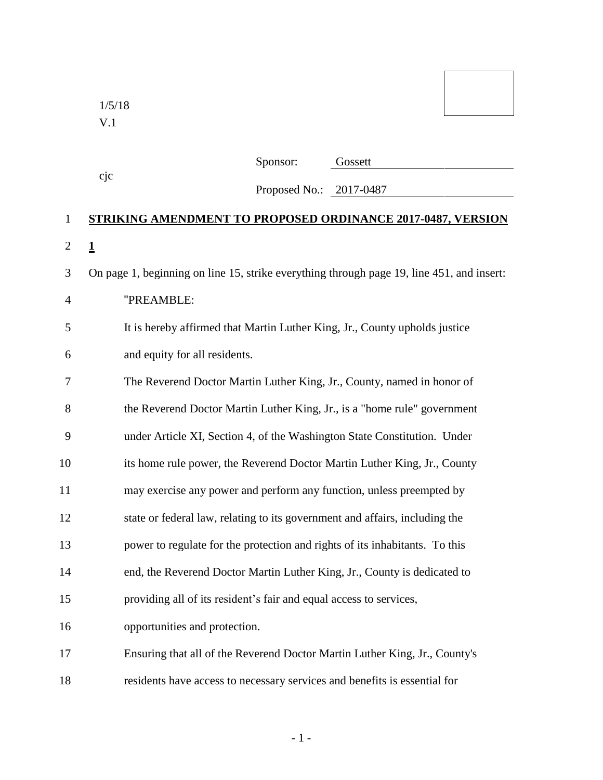1/5/18 V.1

| Sponsor: | Gossett |
|----------|---------|
|          |         |

cjc

"PREAMBLE:

| Proposed No.: | 2017-0487 |
|---------------|-----------|
|---------------|-----------|

## **STRIKING AMENDMENT TO PROPOSED ORDINANCE 2017-0487, VERSION 1** On page 1, beginning on line 15, strike everything through page 19, line 451, and insert:

|   | It is hereby affirmed that Martin Luther King, Jr., County upholds justice |
|---|----------------------------------------------------------------------------|
| 6 | and equity for all residents.                                              |

| 7  | The Reverend Doctor Martin Luther King, Jr., County, named in honor of      |
|----|-----------------------------------------------------------------------------|
| 8  | the Reverend Doctor Martin Luther King, Jr., is a "home rule" government    |
| 9  | under Article XI, Section 4, of the Washington State Constitution. Under    |
| 10 | its home rule power, the Reverend Doctor Martin Luther King, Jr., County    |
| 11 | may exercise any power and perform any function, unless preempted by        |
| 12 | state or federal law, relating to its government and affairs, including the |
| 13 | power to regulate for the protection and rights of its inhabitants. To this |
| 14 | end, the Reverend Doctor Martin Luther King, Jr., County is dedicated to    |
| 15 | providing all of its resident's fair and equal access to services,          |
| 16 | opportunities and protection.                                               |
| 17 | Ensuring that all of the Reverend Doctor Martin Luther King, Jr., County's  |
|    |                                                                             |

residents have access to necessary services and benefits is essential for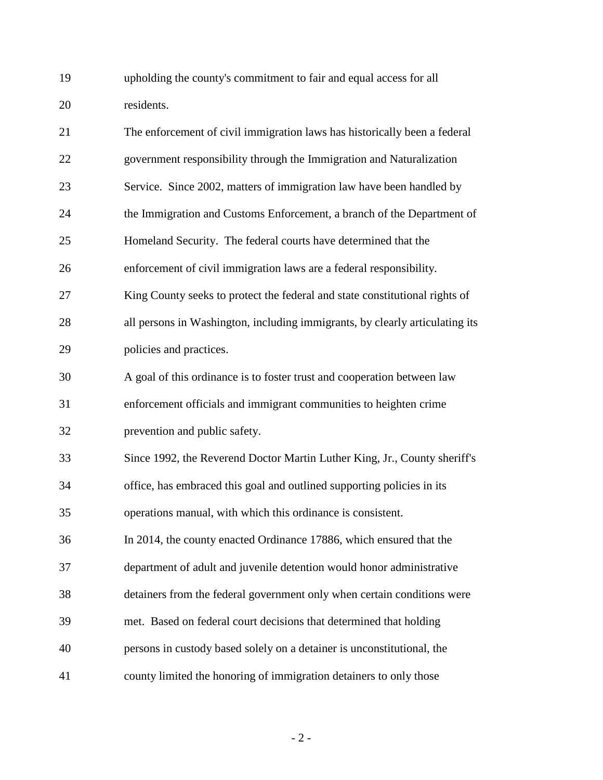upholding the county's commitment to fair and equal access for all residents.

| 21 | The enforcement of civil immigration laws has historically been a federal    |
|----|------------------------------------------------------------------------------|
| 22 | government responsibility through the Immigration and Naturalization         |
| 23 | Service. Since 2002, matters of immigration law have been handled by         |
| 24 | the Immigration and Customs Enforcement, a branch of the Department of       |
| 25 | Homeland Security. The federal courts have determined that the               |
| 26 | enforcement of civil immigration laws are a federal responsibility.          |
| 27 | King County seeks to protect the federal and state constitutional rights of  |
| 28 | all persons in Washington, including immigrants, by clearly articulating its |
| 29 | policies and practices.                                                      |
| 30 | A goal of this ordinance is to foster trust and cooperation between law      |
| 31 | enforcement officials and immigrant communities to heighten crime            |
| 32 | prevention and public safety.                                                |
| 33 | Since 1992, the Reverend Doctor Martin Luther King, Jr., County sheriff's    |
| 34 | office, has embraced this goal and outlined supporting policies in its       |
| 35 | operations manual, with which this ordinance is consistent.                  |
| 36 | In 2014, the county enacted Ordinance 17886, which ensured that the          |
| 37 | department of adult and juvenile detention would honor administrative        |
| 38 | detainers from the federal government only when certain conditions were      |
| 39 | met. Based on federal court decisions that determined that holding           |
| 40 | persons in custody based solely on a detainer is unconstitutional, the       |
| 41 | county limited the honoring of immigration detainers to only those           |

- 2 -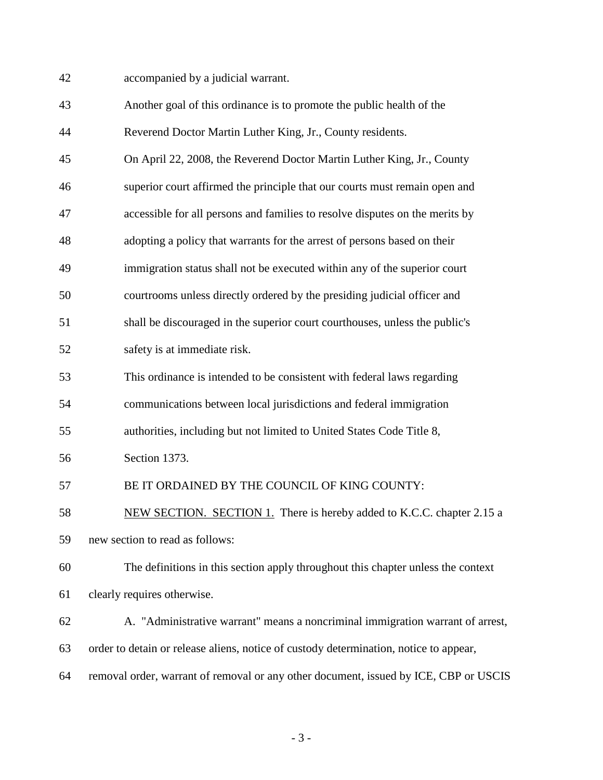accompanied by a judicial warrant.

| 43 | Another goal of this ordinance is to promote the public health of the                 |
|----|---------------------------------------------------------------------------------------|
| 44 | Reverend Doctor Martin Luther King, Jr., County residents.                            |
| 45 | On April 22, 2008, the Reverend Doctor Martin Luther King, Jr., County                |
| 46 | superior court affirmed the principle that our courts must remain open and            |
| 47 | accessible for all persons and families to resolve disputes on the merits by          |
| 48 | adopting a policy that warrants for the arrest of persons based on their              |
| 49 | immigration status shall not be executed within any of the superior court             |
| 50 | courtrooms unless directly ordered by the presiding judicial officer and              |
| 51 | shall be discouraged in the superior court courthouses, unless the public's           |
| 52 | safety is at immediate risk.                                                          |
| 53 | This ordinance is intended to be consistent with federal laws regarding               |
| 54 | communications between local jurisdictions and federal immigration                    |
| 55 | authorities, including but not limited to United States Code Title 8,                 |
| 56 | Section 1373.                                                                         |
| 57 | BE IT ORDAINED BY THE COUNCIL OF KING COUNTY:                                         |
| 58 | NEW SECTION. SECTION 1. There is hereby added to K.C.C. chapter 2.15 a                |
| 59 | new section to read as follows:                                                       |
| 60 | The definitions in this section apply throughout this chapter unless the context      |
| 61 | clearly requires otherwise.                                                           |
| 62 | A. "Administrative warrant" means a noncriminal immigration warrant of arrest,        |
| 63 | order to detain or release aliens, notice of custody determination, notice to appear, |
| 64 | removal order, warrant of removal or any other document, issued by ICE, CBP or USCIS  |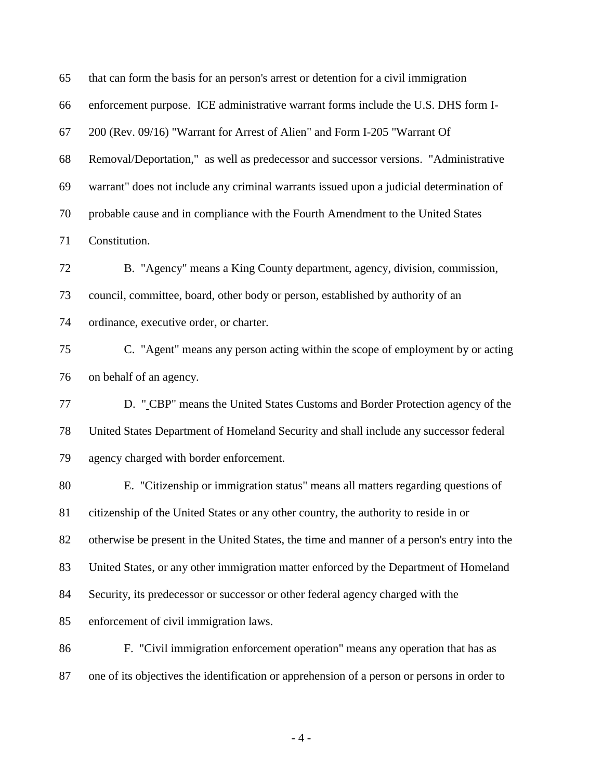| 65 | that can form the basis for an person's arrest or detention for a civil immigration         |
|----|---------------------------------------------------------------------------------------------|
| 66 | enforcement purpose. ICE administrative warrant forms include the U.S. DHS form I-          |
| 67 | 200 (Rev. 09/16) "Warrant for Arrest of Alien" and Form I-205 "Warrant Of                   |
| 68 | Removal/Deportation," as well as predecessor and successor versions. "Administrative        |
| 69 | warrant" does not include any criminal warrants issued upon a judicial determination of     |
| 70 | probable cause and in compliance with the Fourth Amendment to the United States             |
| 71 | Constitution.                                                                               |
| 72 | B. "Agency" means a King County department, agency, division, commission,                   |
| 73 | council, committee, board, other body or person, established by authority of an             |
| 74 | ordinance, executive order, or charter.                                                     |
| 75 | C. "Agent" means any person acting within the scope of employment by or acting              |
| 76 | on behalf of an agency.                                                                     |
| 77 | D. "CBP" means the United States Customs and Border Protection agency of the                |
| 78 | United States Department of Homeland Security and shall include any successor federal       |
| 79 | agency charged with border enforcement.                                                     |
| 80 | E. "Citizenship or immigration status" means all matters regarding questions of             |
| 81 | citizenship of the United States or any other country, the authority to reside in or        |
| 82 | otherwise be present in the United States, the time and manner of a person's entry into the |
| 83 | United States, or any other immigration matter enforced by the Department of Homeland       |
| 84 | Security, its predecessor or successor or other federal agency charged with the             |
| 85 | enforcement of civil immigration laws.                                                      |
| 86 | F. "Civil immigration enforcement operation" means any operation that has as                |
| 87 | one of its objectives the identification or apprehension of a person or persons in order to |
|    |                                                                                             |

- 4 -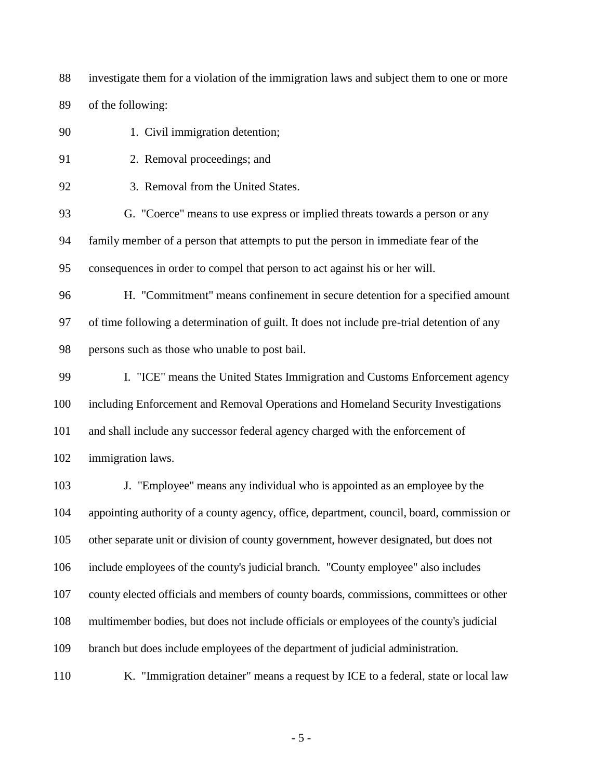investigate them for a violation of the immigration laws and subject them to one or more of the following:

90 1. Civil immigration detention; 91 2. Removal proceedings; and 92 3. Removal from the United States. G. "Coerce" means to use express or implied threats towards a person or any family member of a person that attempts to put the person in immediate fear of the consequences in order to compel that person to act against his or her will. H. "Commitment" means confinement in secure detention for a specified amount of time following a determination of guilt. It does not include pre-trial detention of any persons such as those who unable to post bail. I. "ICE" means the United States Immigration and Customs Enforcement agency including Enforcement and Removal Operations and Homeland Security Investigations and shall include any successor federal agency charged with the enforcement of immigration laws. J. "Employee" means any individual who is appointed as an employee by the appointing authority of a county agency, office, department, council, board, commission or

other separate unit or division of county government, however designated, but does not

include employees of the county's judicial branch. "County employee" also includes

county elected officials and members of county boards, commissions, committees or other

multimember bodies, but does not include officials or employees of the county's judicial

branch but does include employees of the department of judicial administration.

K. "Immigration detainer" means a request by ICE to a federal, state or local law

- 5 -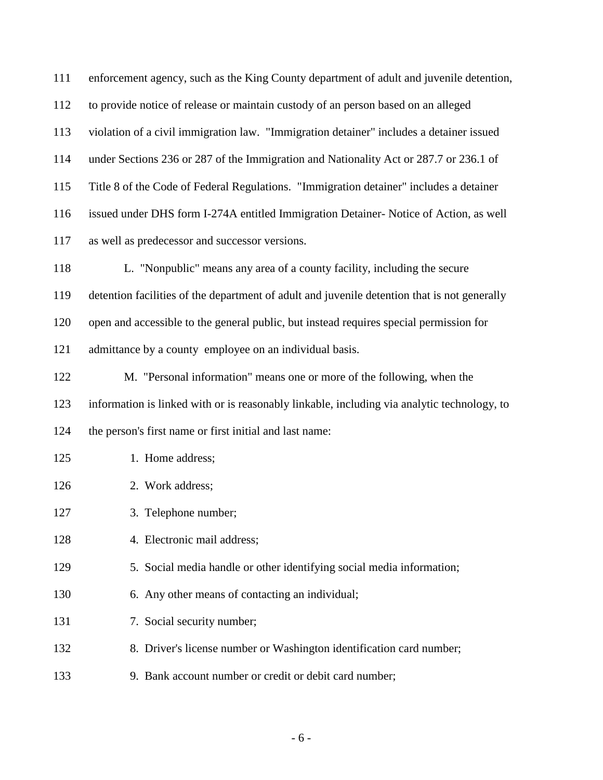| 111 | enforcement agency, such as the King County department of adult and juvenile detention,      |
|-----|----------------------------------------------------------------------------------------------|
| 112 | to provide notice of release or maintain custody of an person based on an alleged            |
| 113 | violation of a civil immigration law. "Immigration detainer" includes a detainer issued      |
| 114 | under Sections 236 or 287 of the Immigration and Nationality Act or 287.7 or 236.1 of        |
| 115 | Title 8 of the Code of Federal Regulations. "Immigration detainer" includes a detainer       |
| 116 | issued under DHS form I-274A entitled Immigration Detainer- Notice of Action, as well        |
| 117 | as well as predecessor and successor versions.                                               |
| 118 | L. "Nonpublic" means any area of a county facility, including the secure                     |
| 119 | detention facilities of the department of adult and juvenile detention that is not generally |
| 120 | open and accessible to the general public, but instead requires special permission for       |
| 121 | admittance by a county employee on an individual basis.                                      |
| 122 | M. "Personal information" means one or more of the following, when the                       |
| 123 | information is linked with or is reasonably linkable, including via analytic technology, to  |
| 124 | the person's first name or first initial and last name:                                      |
| 125 | 1. Home address;                                                                             |
| 126 | 2. Work address;                                                                             |
| 127 | 3. Telephone number;                                                                         |
| 128 | 4. Electronic mail address;                                                                  |
| 129 | 5. Social media handle or other identifying social media information;                        |
| 130 | 6. Any other means of contacting an individual;                                              |
| 131 | 7. Social security number;                                                                   |
| 132 | 8. Driver's license number or Washington identification card number;                         |
| 133 | 9. Bank account number or credit or debit card number;                                       |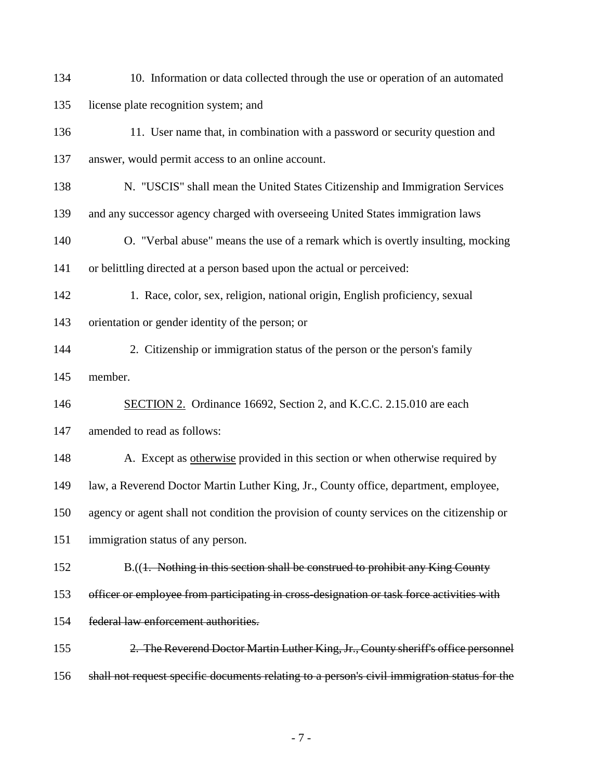- 134 10. Information or data collected through the use or operation of an automated license plate recognition system; and
- 136 11. User name that, in combination with a password or security question and answer, would permit access to an online account.
- N. "USCIS" shall mean the United States Citizenship and Immigration Services
- and any successor agency charged with overseeing United States immigration laws
- O. "Verbal abuse" means the use of a remark which is overtly insulting, mocking or belittling directed at a person based upon the actual or perceived:
- 142 1. Race, color, sex, religion, national origin, English proficiency, sexual orientation or gender identity of the person; or
- 144 2. Citizenship or immigration status of the person or the person's family member.
- 146 SECTION 2. Ordinance 16692, Section 2, and K.C.C. 2.15.010 are each
- amended to read as follows:
- 148 A. Except as <u>otherwise</u> provided in this section or when otherwise required by
- law, a Reverend Doctor Martin Luther King, Jr., County office, department, employee,
- agency or agent shall not condition the provision of county services on the citizenship or
- immigration status of any person.
- B.((1. Nothing in this section shall be construed to prohibit any King County
- officer or employee from participating in cross-designation or task force activities with
- federal law enforcement authorities.
- 155 2. The Reverend Doctor Martin Luther King, Jr., County sheriff's office personnel shall not request specific documents relating to a person's civil immigration status for the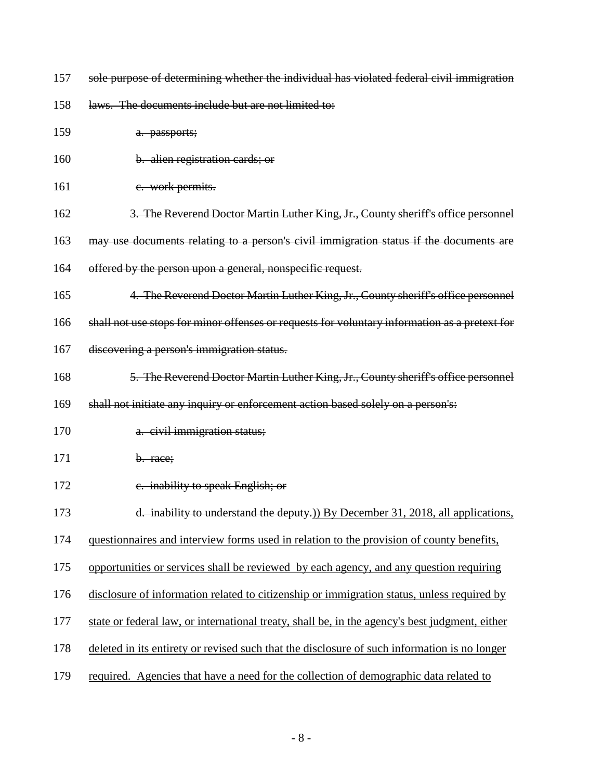157 sole purpose of determining whether the individual has violated federal civil immigration

158 laws. The documents include but are not limited to:

| 159 | a. passports;                                                                                  |
|-----|------------------------------------------------------------------------------------------------|
| 160 | b. alien registration cards; or                                                                |
| 161 | e. work permits.                                                                               |
| 162 | 3. The Reverend Doctor Martin Luther King, Jr., County sheriff's office personnel              |
| 163 | may use documents relating to a person's civil immigration status if the documents are         |
| 164 | offered by the person upon a general, nonspecific request.                                     |
| 165 | 4. The Reverend Doctor Martin Luther King, Jr., County sheriff's office personnel              |
| 166 | shall not use stops for minor offenses or requests for voluntary information as a pretext for  |
| 167 | discovering a person's immigration status.                                                     |
| 168 | 5. The Reverend Doctor Martin Luther King, Jr., County sheriff's office personnel              |
| 169 | shall not initiate any inquiry or enforcement action based solely on a person's:               |
| 170 | a. civil immigration status;                                                                   |
| 171 | b. race;                                                                                       |
| 172 | e. inability to speak English; or                                                              |
| 173 | d. inability to understand the deputy.) By December 31, 2018, all applications,                |
| 174 | questionnaires and interview forms used in relation to the provision of county benefits,       |
| 175 | opportunities or services shall be reviewed by each agency, and any question requiring         |
| 176 | disclosure of information related to citizenship or immigration status, unless required by     |
| 177 | state or federal law, or international treaty, shall be, in the agency's best judgment, either |
| 178 | deleted in its entirety or revised such that the disclosure of such information is no longer   |
| 179 | required. Agencies that have a need for the collection of demographic data related to          |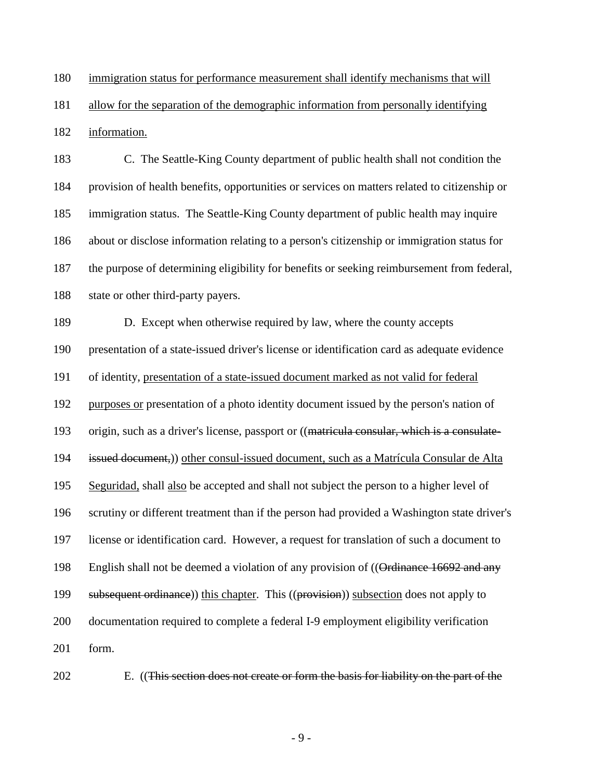immigration status for performance measurement shall identify mechanisms that will

allow for the separation of the demographic information from personally identifying

information.

 C. The Seattle-King County department of public health shall not condition the provision of health benefits, opportunities or services on matters related to citizenship or immigration status. The Seattle-King County department of public health may inquire about or disclose information relating to a person's citizenship or immigration status for the purpose of determining eligibility for benefits or seeking reimbursement from federal, state or other third-party payers.

 D. Except when otherwise required by law, where the county accepts presentation of a state-issued driver's license or identification card as adequate evidence of identity, presentation of a state-issued document marked as not valid for federal purposes or presentation of a photo identity document issued by the person's nation of origin, such as a driver's license, passport or ((matricula consular, which is a consulate- issued document,)) other consul-issued document, such as a Matrícula Consular de Alta Seguridad, shall also be accepted and shall not subject the person to a higher level of scrutiny or different treatment than if the person had provided a Washington state driver's license or identification card. However, a request for translation of such a document to 198 English shall not be deemed a violation of any provision of ((Ordinance 16692 and any 199 subsequent ordinance)) this chapter. This ((provision)) subsection does not apply to documentation required to complete a federal I-9 employment eligibility verification form.



E. ((This section does not create or form the basis for liability on the part of the

- 9 -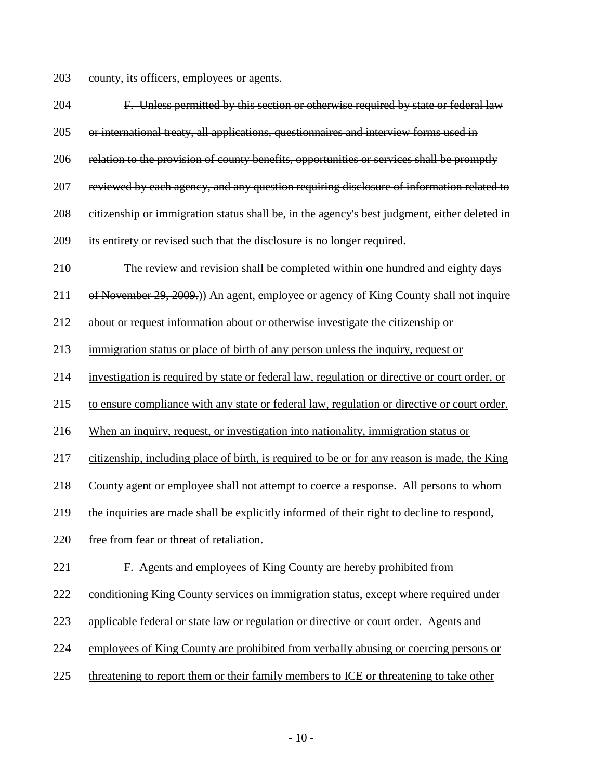county, its officers, employees or agents.

| 204 | F. Unless permitted by this section or otherwise required by state or federal law             |
|-----|-----------------------------------------------------------------------------------------------|
| 205 | or international treaty, all applications, questionnaires and interview forms used in         |
| 206 | relation to the provision of county benefits, opportunities or services shall be promptly     |
| 207 | reviewed by each agency, and any question requiring disclosure of information related to      |
| 208 | citizenship or immigration status shall be, in the agency's best judgment, either deleted in  |
| 209 | its entirety or revised such that the disclosure is no longer required.                       |
| 210 | The review and revision shall be completed within one hundred and eighty days                 |
| 211 | of November 29, 2009.)) An agent, employee or agency of King County shall not inquire         |
| 212 | about or request information about or otherwise investigate the citizenship or                |
| 213 | immigration status or place of birth of any person unless the inquiry, request or             |
| 214 | investigation is required by state or federal law, regulation or directive or court order, or |
| 215 | to ensure compliance with any state or federal law, regulation or directive or court order.   |
| 216 | When an inquiry, request, or investigation into nationality, immigration status or            |
| 217 | citizenship, including place of birth, is required to be or for any reason is made, the King  |
| 218 | County agent or employee shall not attempt to coerce a response. All persons to whom          |
| 219 | the inquiries are made shall be explicitly informed of their right to decline to respond,     |
| 220 | free from fear or threat of retaliation.                                                      |
| 221 | F. Agents and employees of King County are hereby prohibited from                             |
| 222 | conditioning King County services on immigration status, except where required under          |
| 223 | applicable federal or state law or regulation or directive or court order. Agents and         |
| 224 | employees of King County are prohibited from verbally abusing or coercing persons or          |
| 225 | threatening to report them or their family members to ICE or threatening to take other        |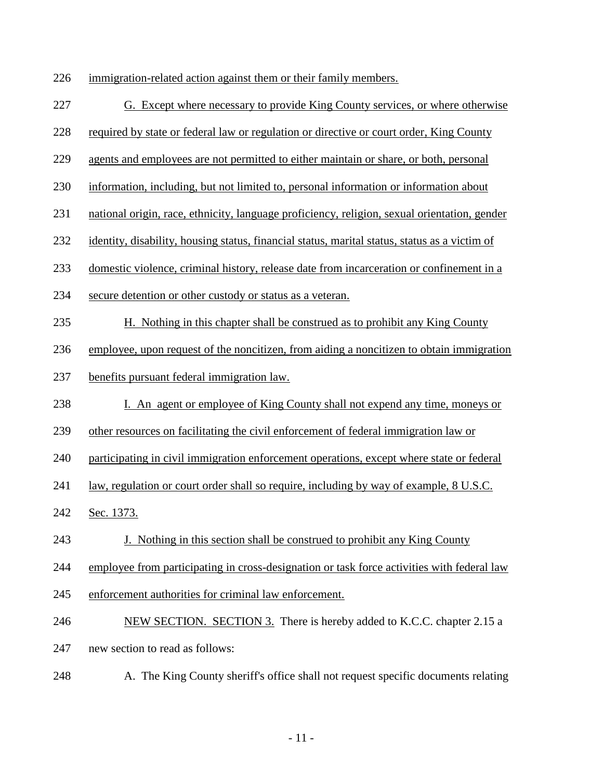immigration-related action against them or their family members.

- G. Except where necessary to provide King County services, or where otherwise
- required by state or federal law or regulation or directive or court order, King County
- agents and employees are not permitted to either maintain or share, or both, personal
- information, including, but not limited to, personal information or information about
- national origin, race, ethnicity, language proficiency, religion, sexual orientation, gender
- identity, disability, housing status, financial status, marital status, status as a victim of
- domestic violence, criminal history, release date from incarceration or confinement in a
- secure detention or other custody or status as a veteran.
- H. Nothing in this chapter shall be construed as to prohibit any King County
- employee, upon request of the noncitizen, from aiding a noncitizen to obtain immigration
- benefits pursuant federal immigration law.
- I. An agent or employee of King County shall not expend any time, moneys or
- other resources on facilitating the civil enforcement of federal immigration law or

participating in civil immigration enforcement operations, except where state or federal

- law, regulation or court order shall so require, including by way of example, 8 U.S.C.
- Sec. 1373.
- J. Nothing in this section shall be construed to prohibit any King County
- employee from participating in cross-designation or task force activities with federal law
- enforcement authorities for criminal law enforcement.
- NEW SECTION. SECTION 3. There is hereby added to K.C.C. chapter 2.15 a
- new section to read as follows:
- A. The King County sheriff's office shall not request specific documents relating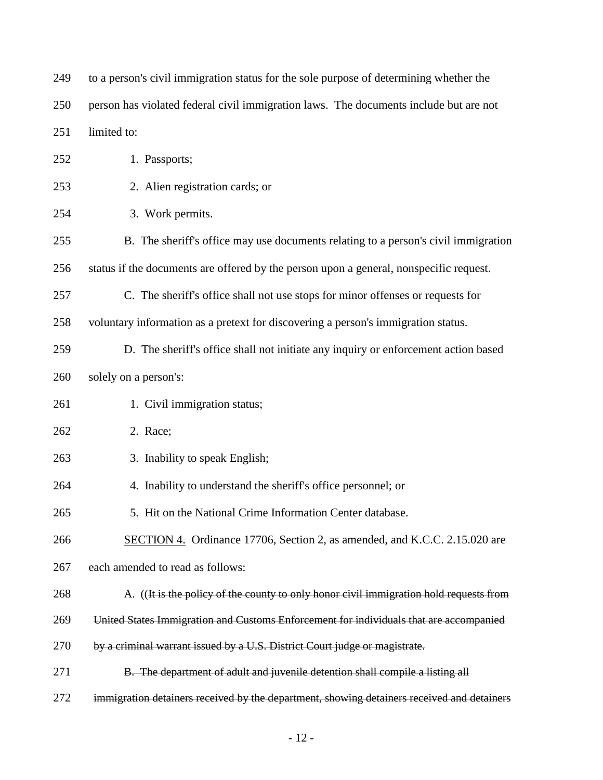| 249 | to a person's civil immigration status for the sole purpose of determining whether the     |
|-----|--------------------------------------------------------------------------------------------|
| 250 | person has violated federal civil immigration laws. The documents include but are not      |
| 251 | limited to:                                                                                |
| 252 | 1. Passports;                                                                              |
| 253 | 2. Alien registration cards; or                                                            |
| 254 | 3. Work permits.                                                                           |
| 255 | B. The sheriff's office may use documents relating to a person's civil immigration         |
| 256 | status if the documents are offered by the person upon a general, nonspecific request.     |
| 257 | C. The sheriff's office shall not use stops for minor offenses or requests for             |
| 258 | voluntary information as a pretext for discovering a person's immigration status.          |
| 259 | D. The sheriff's office shall not initiate any inquiry or enforcement action based         |
| 260 | solely on a person's:                                                                      |
| 261 | 1. Civil immigration status;                                                               |
| 262 | 2. Race;                                                                                   |
| 263 | 3. Inability to speak English;                                                             |
| 264 | 4. Inability to understand the sheriff's office personnel; or                              |
| 265 | 5. Hit on the National Crime Information Center database                                   |
| 266 | SECTION 4. Ordinance 17706, Section 2, as amended, and K.C.C. 2.15.020 are                 |
| 267 | each amended to read as follows:                                                           |
| 268 | A. ((It is the policy of the county to only honor civil immigration hold requests from     |
| 269 | United States Immigration and Customs Enforcement for individuals that are accompanied     |
| 270 | by a criminal warrant issued by a U.S. District Court judge or magistrate.                 |
| 271 | B. The department of adult and juvenile detention shall compile a listing all              |
| 272 | immigration detainers received by the department, showing detainers received and detainers |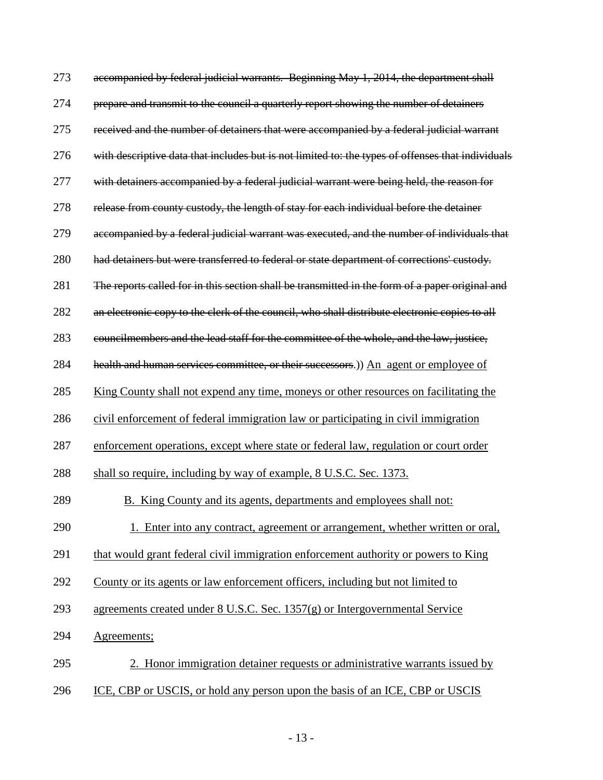| 273 | accompanied by federal judicial warrants. Beginning May 1, 2014, the department shall             |
|-----|---------------------------------------------------------------------------------------------------|
| 274 | prepare and transmit to the council a quarterly report showing the number of detainers            |
| 275 | received and the number of detainers that were accompanied by a federal judicial warrant          |
| 276 | with descriptive data that includes but is not limited to: the types of offenses that individuals |
| 277 | with detainers accompanied by a federal judicial warrant were being held, the reason for          |
| 278 | release from county custody, the length of stay for each individual before the detainer           |
| 279 | accompanied by a federal judicial warrant was executed, and the number of individuals that        |
| 280 | had detainers but were transferred to federal or state department of corrections' custody.        |
| 281 | The reports called for in this section shall be transmitted in the form of a paper original and   |
| 282 | an electronic copy to the clerk of the council, who shall distribute electronic copies to all     |
| 283 | councilmembers and the lead staff for the committee of the whole, and the law, justice,           |
| 284 | health and human services committee, or their successors.)) An agent or employee of               |
| 285 | <u>King County shall not expend any time, moneys or other resources on facilitating the</u>       |
| 286 | civil enforcement of federal immigration law or participating in civil immigration                |
| 287 | enforcement operations, except where state or federal law, regulation or court order              |
| 288 | shall so require, including by way of example, 8 U.S.C. Sec. 1373.                                |
| 289 | B. King County and its agents, departments and employees shall not:                               |
| 290 | 1. Enter into any contract, agreement or arrangement, whether written or oral,                    |
| 291 | that would grant federal civil immigration enforcement authority or powers to King                |
| 292 | County or its agents or law enforcement officers, including but not limited to                    |
| 293 | agreements created under $8$ U.S.C. Sec. 1357 $(g)$ or Intergovernmental Service                  |
| 294 | Agreements;                                                                                       |
| 295 | 2. Honor immigration detainer requests or administrative warrants issued by                       |
| 296 | ICE, CBP or USCIS, or hold any person upon the basis of an ICE, CBP or USCIS                      |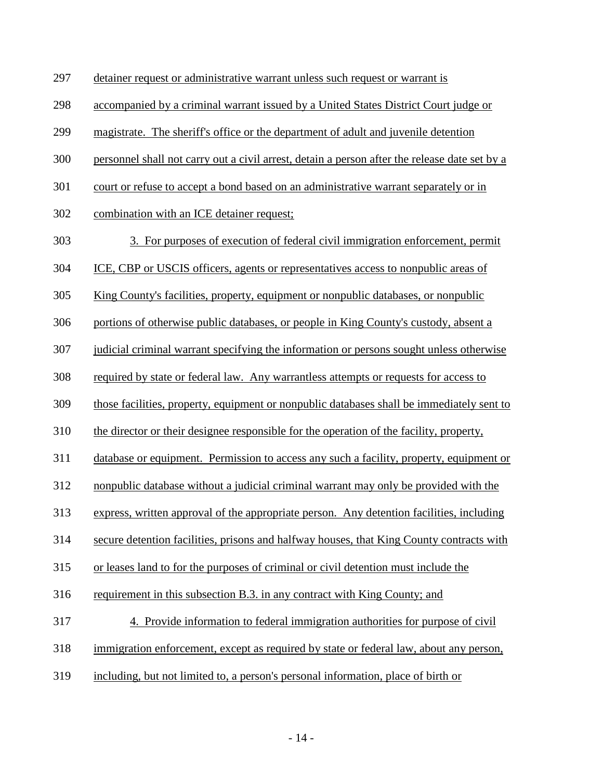- detainer request or administrative warrant unless such request or warrant is
- accompanied by a criminal warrant issued by a United States District Court judge or
- magistrate. The sheriff's office or the department of adult and juvenile detention
- personnel shall not carry out a civil arrest, detain a person after the release date set by a
- court or refuse to accept a bond based on an administrative warrant separately or in
- combination with an ICE detainer request;
- 303 3. For purposes of execution of federal civil immigration enforcement, permit
- ICE, CBP or USCIS officers, agents or representatives access to nonpublic areas of
- King County's facilities, property, equipment or nonpublic databases, or nonpublic
- portions of otherwise public databases, or people in King County's custody, absent a
- judicial criminal warrant specifying the information or persons sought unless otherwise
- required by state or federal law. Any warrantless attempts or requests for access to
- those facilities, property, equipment or nonpublic databases shall be immediately sent to
- the director or their designee responsible for the operation of the facility, property,
- database or equipment. Permission to access any such a facility, property, equipment or
- nonpublic database without a judicial criminal warrant may only be provided with the
- express, written approval of the appropriate person. Any detention facilities, including
- secure detention facilities, prisons and halfway houses, that King County contracts with
- or leases land to for the purposes of criminal or civil detention must include the
- requirement in this subsection B.3. in any contract with King County; and
- 317 4. Provide information to federal immigration authorities for purpose of civil
- immigration enforcement, except as required by state or federal law, about any person,
- including, but not limited to, a person's personal information, place of birth or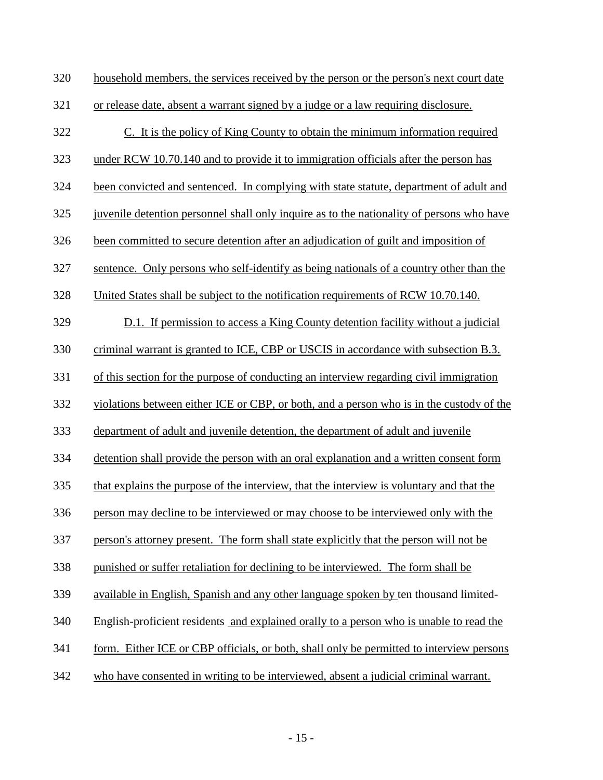| 320 | household members, the services received by the person or the person's next court date    |
|-----|-------------------------------------------------------------------------------------------|
| 321 | or release date, absent a warrant signed by a judge or a law requiring disclosure.        |
| 322 | C. It is the policy of King County to obtain the minimum information required             |
| 323 | under RCW 10.70.140 and to provide it to immigration officials after the person has       |
| 324 | been convicted and sentenced. In complying with state statute, department of adult and    |
| 325 | juvenile detention personnel shall only inquire as to the nationality of persons who have |
| 326 | been committed to secure detention after an adjudication of guilt and imposition of       |
| 327 | sentence. Only persons who self-identify as being nationals of a country other than the   |
| 328 | United States shall be subject to the notification requirements of RCW 10.70.140.         |
| 329 | D.1. If permission to access a King County detention facility without a judicial          |
| 330 | criminal warrant is granted to ICE, CBP or USCIS in accordance with subsection B.3.       |
| 331 | of this section for the purpose of conducting an interview regarding civil immigration    |
| 332 | violations between either ICE or CBP, or both, and a person who is in the custody of the  |
| 333 | department of adult and juvenile detention, the department of adult and juvenile          |
| 334 | detention shall provide the person with an oral explanation and a written consent form    |
| 335 | that explains the purpose of the interview, that the interview is voluntary and that the  |
| 336 | person may decline to be interviewed or may choose to be interviewed only with the        |
| 337 | person's attorney present. The form shall state explicitly that the person will not be    |
| 338 | punished or suffer retaliation for declining to be interviewed. The form shall be         |
| 339 | available in English, Spanish and any other language spoken by ten thousand limited-      |
| 340 | English-proficient residents and explained orally to a person who is unable to read the   |
| 341 | form. Either ICE or CBP officials, or both, shall only be permitted to interview persons  |
| 342 | who have consented in writing to be interviewed, absent a judicial criminal warrant.      |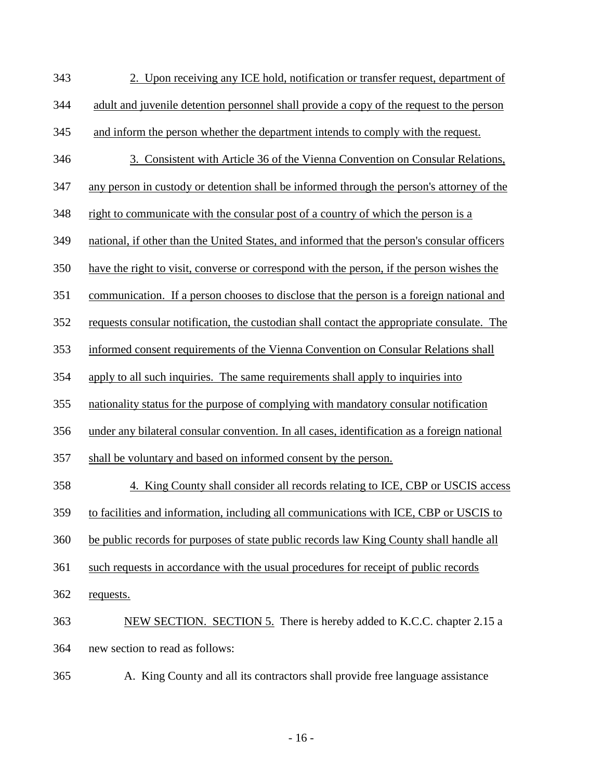| 343 | 2. Upon receiving any ICE hold, notification or transfer request, department of             |
|-----|---------------------------------------------------------------------------------------------|
| 344 | adult and juvenile detention personnel shall provide a copy of the request to the person    |
| 345 | and inform the person whether the department intends to comply with the request.            |
| 346 | 3. Consistent with Article 36 of the Vienna Convention on Consular Relations,               |
| 347 | any person in custody or detention shall be informed through the person's attorney of the   |
| 348 | right to communicate with the consular post of a country of which the person is a           |
| 349 | national, if other than the United States, and informed that the person's consular officers |
| 350 | have the right to visit, converse or correspond with the person, if the person wishes the   |
| 351 | communication. If a person chooses to disclose that the person is a foreign national and    |
| 352 | requests consular notification, the custodian shall contact the appropriate consulate. The  |
| 353 | informed consent requirements of the Vienna Convention on Consular Relations shall          |
| 354 | apply to all such inquiries. The same requirements shall apply to inquiries into            |
| 355 | nationality status for the purpose of complying with mandatory consular notification        |
| 356 | under any bilateral consular convention. In all cases, identification as a foreign national |
| 357 | shall be voluntary and based on informed consent by the person.                             |
| 358 | 4. King County shall consider all records relating to ICE, CBP or USCIS access              |
| 359 | to facilities and information, including all communications with ICE, CBP or USCIS to       |
| 360 | be public records for purposes of state public records law King County shall handle all     |
| 361 | such requests in accordance with the usual procedures for receipt of public records         |
| 362 | requests.                                                                                   |
| 363 | NEW SECTION. SECTION 5. There is hereby added to K.C.C. chapter 2.15 a                      |
| 364 | new section to read as follows:                                                             |
|     |                                                                                             |

A. King County and all its contractors shall provide free language assistance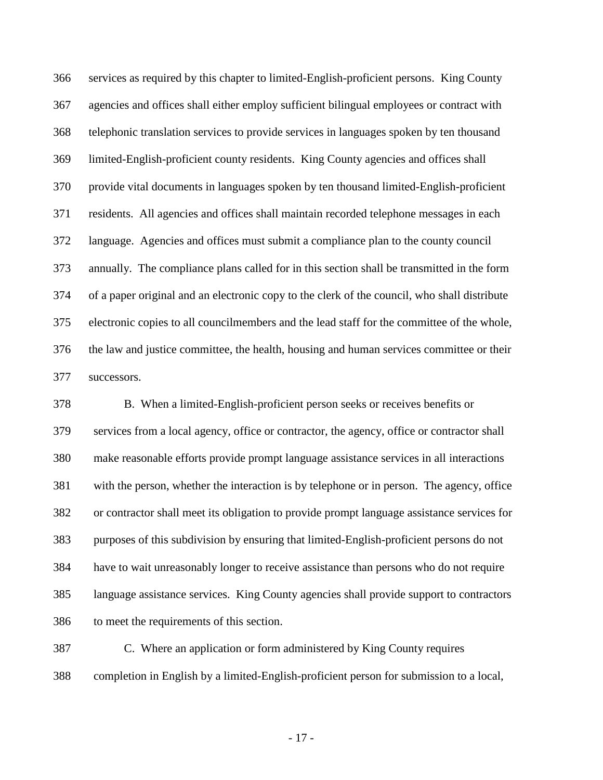services as required by this chapter to limited-English-proficient persons. King County agencies and offices shall either employ sufficient bilingual employees or contract with telephonic translation services to provide services in languages spoken by ten thousand limited-English-proficient county residents. King County agencies and offices shall provide vital documents in languages spoken by ten thousand limited-English-proficient residents. All agencies and offices shall maintain recorded telephone messages in each language. Agencies and offices must submit a compliance plan to the county council annually. The compliance plans called for in this section shall be transmitted in the form of a paper original and an electronic copy to the clerk of the council, who shall distribute electronic copies to all councilmembers and the lead staff for the committee of the whole, the law and justice committee, the health, housing and human services committee or their successors.

 B. When a limited-English-proficient person seeks or receives benefits or services from a local agency, office or contractor, the agency, office or contractor shall make reasonable efforts provide prompt language assistance services in all interactions with the person, whether the interaction is by telephone or in person. The agency, office or contractor shall meet its obligation to provide prompt language assistance services for purposes of this subdivision by ensuring that limited-English-proficient persons do not have to wait unreasonably longer to receive assistance than persons who do not require language assistance services. King County agencies shall provide support to contractors to meet the requirements of this section.

 C. Where an application or form administered by King County requires completion in English by a limited-English-proficient person for submission to a local,

- 17 -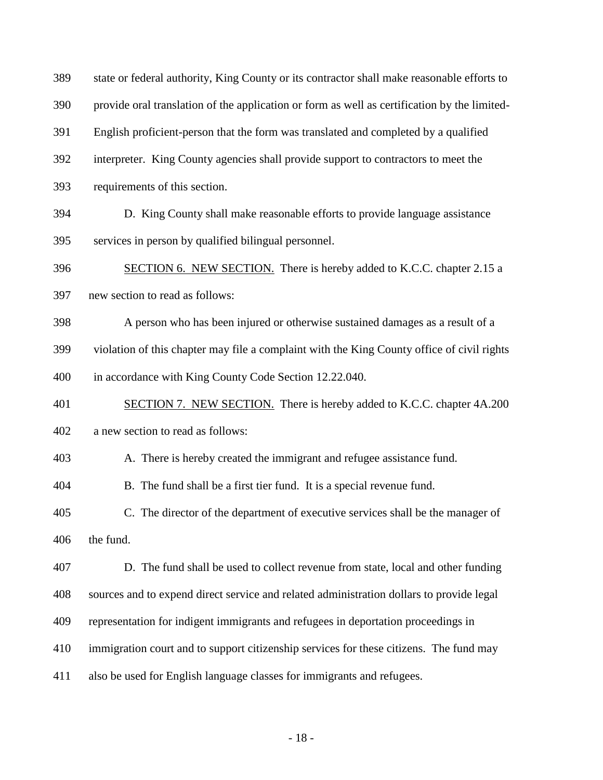| 389 | state or federal authority, King County or its contractor shall make reasonable efforts to   |
|-----|----------------------------------------------------------------------------------------------|
| 390 | provide oral translation of the application or form as well as certification by the limited- |
| 391 | English proficient-person that the form was translated and completed by a qualified          |
| 392 | interpreter. King County agencies shall provide support to contractors to meet the           |
| 393 | requirements of this section.                                                                |
| 394 | D. King County shall make reasonable efforts to provide language assistance                  |
| 395 | services in person by qualified bilingual personnel.                                         |
| 396 | SECTION 6. NEW SECTION. There is hereby added to K.C.C. chapter 2.15 a                       |
| 397 | new section to read as follows:                                                              |
| 398 | A person who has been injured or otherwise sustained damages as a result of a                |
| 399 | violation of this chapter may file a complaint with the King County office of civil rights   |
| 400 | in accordance with King County Code Section 12.22.040.                                       |
| 401 | <b>SECTION 7. NEW SECTION.</b> There is hereby added to K.C.C. chapter 4A.200                |
| 402 | a new section to read as follows:                                                            |
| 403 | A. There is hereby created the immigrant and refugee assistance fund.                        |
| 404 | B. The fund shall be a first tier fund. It is a special revenue fund.                        |
| 405 | C. The director of the department of executive services shall be the manager of              |
| 406 | the fund.                                                                                    |
| 407 | D. The fund shall be used to collect revenue from state, local and other funding             |
| 408 | sources and to expend direct service and related administration dollars to provide legal     |
| 409 | representation for indigent immigrants and refugees in deportation proceedings in            |
| 410 | immigration court and to support citizenship services for these citizens. The fund may       |
| 411 | also be used for English language classes for immigrants and refugees.                       |
|     |                                                                                              |